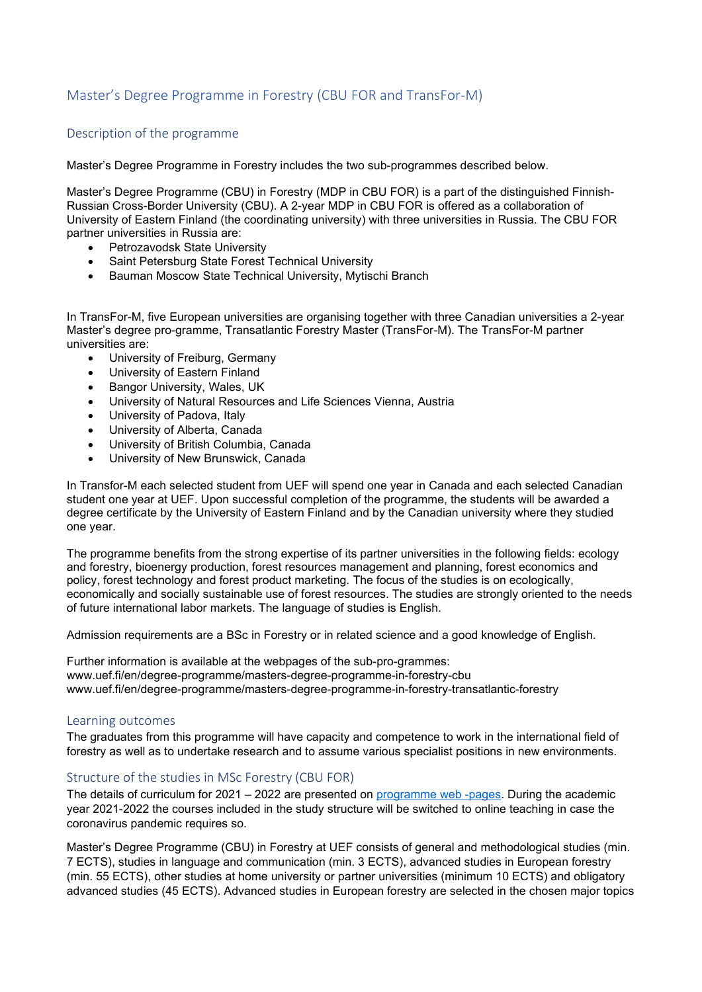# Master's Degree Programme in Forestry (CBU FOR and TransFor-M)

## Description of the programme

Master's Degree Programme in Forestry includes the two sub-programmes described below.

Master's Degree Programme (CBU) in Forestry (MDP in CBU FOR) is a part of the distinguished Finnish-Russian Cross-Border University (CBU). A 2-year MDP in CBU FOR is offered as a collaboration of University of Eastern Finland (the coordinating university) with three universities in Russia. The CBU FOR partner universities in Russia are:

- Petrozavodsk State University
- Saint Petersburg State Forest Technical University
- Bauman Moscow State Technical University, Mytischi Branch

In TransFor-M, five European universities are organising together with three Canadian universities a 2-year Master's degree pro-gramme, Transatlantic Forestry Master (TransFor-M). The TransFor-M partner universities are:

- University of Freiburg, Germany
- University of Eastern Finland
- Bangor University, Wales, UK
- University of Natural Resources and Life Sciences Vienna, Austria
- University of Padova, Italy
- University of Alberta, Canada
- University of British Columbia, Canada
- University of New Brunswick, Canada

In Transfor-M each selected student from UEF will spend one year in Canada and each selected Canadian student one year at UEF. Upon successful completion of the programme, the students will be awarded a degree certificate by the University of Eastern Finland and by the Canadian university where they studied one year.

The programme benefits from the strong expertise of its partner universities in the following fields: ecology and forestry, bioenergy production, forest resources management and planning, forest economics and policy, forest technology and forest product marketing. The focus of the studies is on ecologically, economically and socially sustainable use of forest resources. The studies are strongly oriented to the needs of future international labor markets. The language of studies is English.

Admission requirements are a BSc in Forestry or in related science and a good knowledge of English.

Further information is available at the webpages of the sub-pro-grammes: www.uef.fi/en/degree-programme/masters-degree-programme-in-forestry-cbu www.uef.fi/en/degree-programme/masters-degree-programme-in-forestry-transatlantic-forestry

#### Learning outcomes

The graduates from this programme will have capacity and competence to work in the international field of forestry as well as to undertake research and to assume various specialist positions in new environments.

### Structure of the studies in MSc Forestry (CBU FOR)

The details of curriculum for 2021 – 2022 are presented on [programme web -pages.](https://www.uef.fi/en/degree-programme/masters-degree-programme-in-forestry-cbu) During the academic year 2021-2022 the courses included in the study structure will be switched to online teaching in case the coronavirus pandemic requires so.

Master's Degree Programme (CBU) in Forestry at UEF consists of general and methodological studies (min. 7 ECTS), studies in language and communication (min. 3 ECTS), advanced studies in European forestry (min. 55 ECTS), other studies at home university or partner universities (minimum 10 ECTS) and obligatory advanced studies (45 ECTS). Advanced studies in European forestry are selected in the chosen major topics